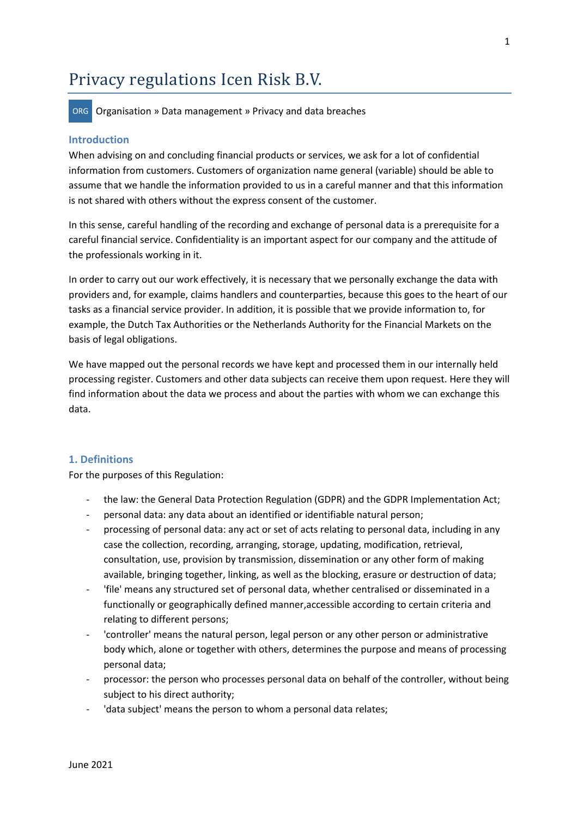# Privacy regulations Icen Risk B.V.

ORG Organisation » Data management » Privacy and data breaches

#### **Introduction**

When advising on and concluding financial products or services, we ask for a lot of confidential information from customers. Customers of organization name general (variable) should be able to assume that we handle the information provided to us in a careful manner and that this information is not shared with others without the express consent of the customer.

In this sense, careful handling of the recording and exchange of personal data is a prerequisite for a careful financial service. Confidentiality is an important aspect for our company and the attitude of the professionals working in it.

In order to carry out our work effectively, it is necessary that we personally exchange the data with providers and, for example, claims handlers and counterparties, because this goes to the heart of our tasks as a financial service provider. In addition, it is possible that we provide information to, for example, the Dutch Tax Authorities or the Netherlands Authority for the Financial Markets on the basis of legal obligations.

We have mapped out the personal records we have kept and processed them in our internally held processing register. Customers and other data subjects can receive them upon request. Here they will find information about the data we process and about the parties with whom we can exchange this data.

#### **1. Definitions**

For the purposes of this Regulation:

- the law: the General Data Protection Regulation (GDPR) and the GDPR Implementation Act;
- personal data: any data about an identified or identifiable natural person;
- processing of personal data: any act or set of acts relating to personal data, including in any case the collection, recording, arranging, storage, updating, modification, retrieval, consultation, use, provision by transmission, dissemination or any other form of making available, bringing together, linking, as well as the blocking, erasure or destruction of data;
- 'file' means any structured set of personal data, whether centralised or disseminated in a functionally or geographically defined manner,accessible according to certain criteria and relating to different persons;
- 'controller' means the natural person, legal person or any other person or administrative body which, alone or together with others, determines the purpose and means of processing personal data;
- processor: the person who processes personal data on behalf of the controller, without being subject to his direct authority;
- 'data subject' means the person to whom a personal data relates;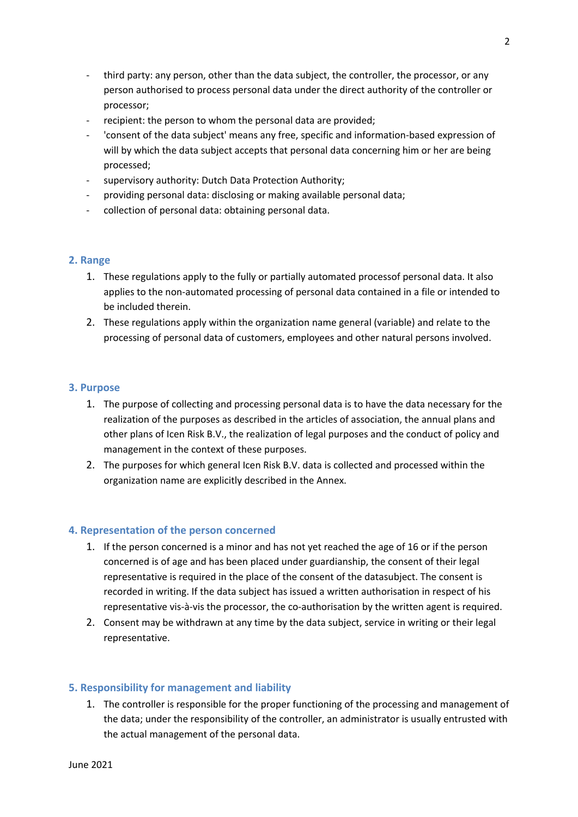- third party: any person, other than the data subject, the controller, the processor, or any person authorised to process personal data under the direct authority of the controller or processor;
- recipient: the person to whom the personal data are provided;
- 'consent of the data subject' means any free, specific and information-based expression of will by which the data subject accepts that personal data concerning him or her are being processed;
- supervisory authority: Dutch Data Protection Authority;
- providing personal data: disclosing or making available personal data;
- collection of personal data: obtaining personal data.

# **2. Range**

- 1. These regulations apply to the fully or partially automated processof personal data. It also applies to the non-automated processing of personal data contained in a file or intended to be included therein.
- 2. These regulations apply within the organization name general (variable) and relate to the processing of personal data of customers, employees and other natural persons involved.

# **3. Purpose**

- 1. The purpose of collecting and processing personal data is to have the data necessary for the realization of the purposes as described in the articles of association, the annual plans and other plans of Icen Risk B.V., the realization of legal purposes and the conduct of policy and management in the context of these purposes.
- 2. The purposes for which general Icen Risk B.V. data is collected and processed within the organization name are explicitly described in the Annex.

# **4. Representation of the person concerned**

- 1. If the person concerned is a minor and has not yet reached the age of 16 or if the person concerned is of age and has been placed under guardianship, the consent of their legal representative is required in the place of the consent of the datasubject. The consent is recorded in writing. If the data subject has issued a written authorisation in respect of his representative vis-à-vis the processor, the co-authorisation by the written agent is required.
- 2. Consent may be withdrawn at any time by the data subject, service in writing or their legal representative.

# **5. Responsibility for management and liability**

1. The controller is responsible for the proper functioning of the processing and management of the data; under the responsibility of the controller, an administrator is usually entrusted with the actual management of the personal data.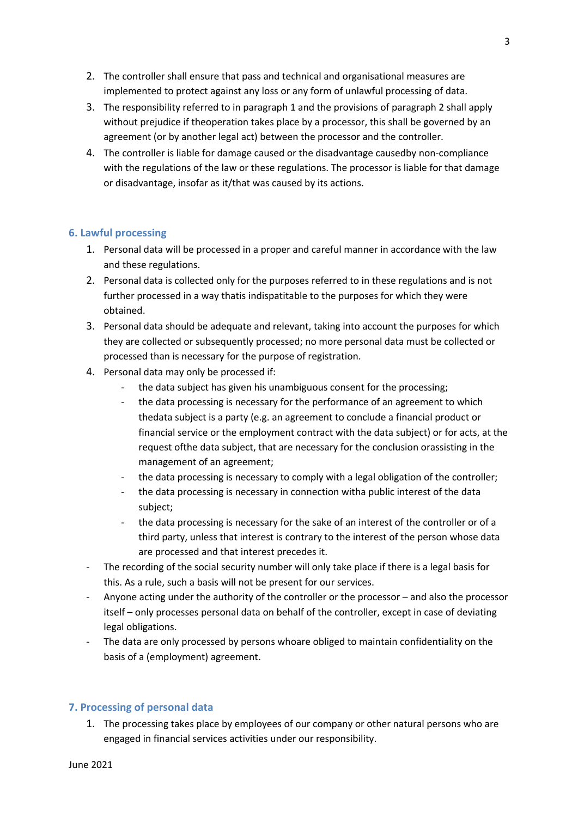- 2. The controller shall ensure that pass and technical and organisational measures are implemented to protect against any loss or any form of unlawful processing of data.
- 3. The responsibility referred to in paragraph 1 and the provisions of paragraph 2 shall apply without prejudice if theoperation takes place by a processor, this shall be governed by an agreement (or by another legal act) between the processor and the controller.
- 4. The controller is liable for damage caused or the disadvantage causedby non-compliance with the regulations of the law or these regulations. The processor is liable for that damage or disadvantage, insofar as it/that was caused by its actions.

# **6. Lawful processing**

- 1. Personal data will be processed in a proper and careful manner in accordance with the law and these regulations.
- 2. Personal data is collected only for the purposes referred to in these regulations and is not further processed in a way thatis indispatitable to the purposes for which they were obtained.
- 3. Personal data should be adequate and relevant, taking into account the purposes for which they are collected or subsequently processed; no more personal data must be collected or processed than is necessary for the purpose of registration.
- 4. Personal data may only be processed if:
	- the data subject has given his unambiguous consent for the processing;
	- the data processing is necessary for the performance of an agreement to which thedata subject is a party (e.g. an agreement to conclude a financial product or financial service or the employment contract with the data subject) or for acts, at the request ofthe data subject, that are necessary for the conclusion orassisting in the management of an agreement;
	- the data processing is necessary to comply with a legal obligation of the controller;
	- the data processing is necessary in connection witha public interest of the data subject;
	- the data processing is necessary for the sake of an interest of the controller or of a third party, unless that interest is contrary to the interest of the person whose data are processed and that interest precedes it.
- The recording of the social security number will only take place if there is a legal basis for this. As a rule, such a basis will not be present for our services.
- Anyone acting under the authority of the controller or the processor and also the processor itself – only processes personal data on behalf of the controller, except in case of deviating legal obligations.
- The data are only processed by persons whoare obliged to maintain confidentiality on the basis of a (employment) agreement.

# **7. Processing of personal data**

1. The processing takes place by employees of our company or other natural persons who are engaged in financial services activities under our responsibility.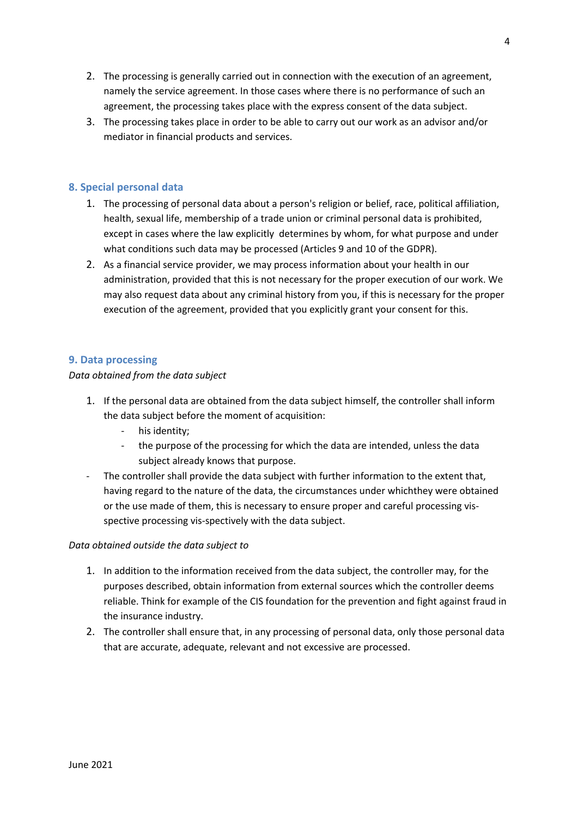- 2. The processing is generally carried out in connection with the execution of an agreement, namely the service agreement. In those cases where there is no performance of such an agreement, the processing takes place with the express consent of the data subject.
- 3. The processing takes place in order to be able to carry out our work as an advisor and/or mediator in financial products and services.

# **8. Special personal data**

- 1. The processing of personal data about a person's religion or belief, race, political affiliation, health, sexual life, membership of a trade union or criminal personal data is prohibited, except in cases where the law explicitly determines by whom, for what purpose and under what conditions such data may be processed (Articles 9 and 10 of the GDPR).
- 2. As a financial service provider, we may process information about your health in our administration, provided that this is not necessary for the proper execution of our work. We may also request data about any criminal history from you, if this is necessary for the proper execution of the agreement, provided that you explicitly grant your consent for this.

# **9. Data processing**

# *Data obtained from the data subject*

- 1. If the personal data are obtained from the data subject himself, the controller shall inform the data subject before the moment of acquisition:
	- his identity;
	- the purpose of the processing for which the data are intended, unless the data subject already knows that purpose.
- The controller shall provide the data subject with further information to the extent that, having regard to the nature of the data, the circumstances under whichthey were obtained or the use made of them, this is necessary to ensure proper and careful processing visspective processing vis-spectively with the data subject.

# *Data obtained outside the data subject to*

- 1. In addition to the information received from the data subject, the controller may, for the purposes described, obtain information from external sources which the controller deems reliable. Think for example of the CIS foundation for the prevention and fight against fraud in the insurance industry.
- 2. The controller shall ensure that, in any processing of personal data, only those personal data that are accurate, adequate, relevant and not excessive are processed.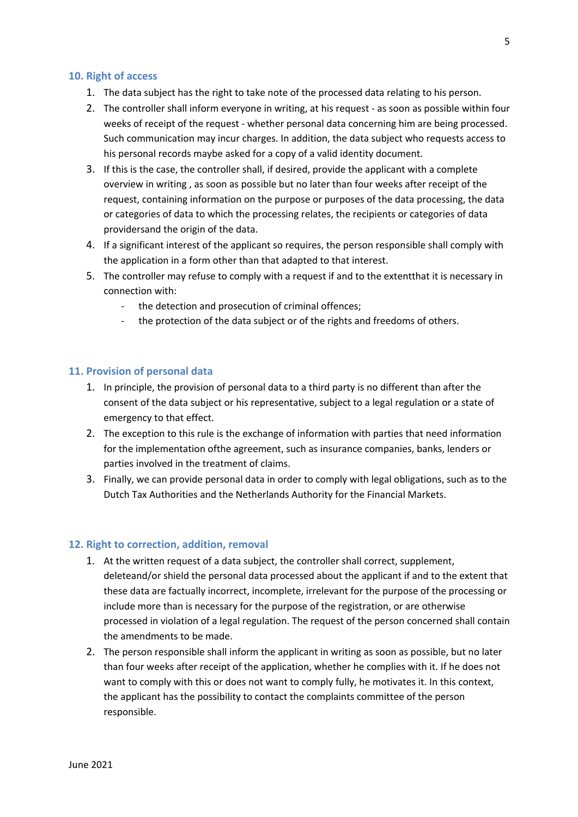# **10. Right of access**

- 1. The data subject has the right to take note of the processed data relating to his person.
- 2. The controller shall inform everyone in writing, at his request as soon as possible within four weeks of receipt of the request - whether personal data concerning him are being processed. Such communication may incur charges. In addition, the data subject who requests access to his personal records maybe asked for a copy of a valid identity document.
- 3. If this is the case, the controller shall, if desired, provide the applicant with a complete overview in writing , as soon as possible but no later than four weeks after receipt of the request, containing information on the purpose or purposes of the data processing, the data or categories of data to which the processing relates, the recipients or categories of data providersand the origin of the data.
- 4. If a significant interest of the applicant so requires, the person responsible shall comply with the application in a form other than that adapted to that interest.
- 5. The controller may refuse to comply with a request if and to the extentthat it is necessary in connection with:
	- the detection and prosecution of criminal offences;
	- the protection of the data subject or of the rights and freedoms of others.

# **11. Provision of personal data**

- 1. In principle, the provision of personal data to a third party is no different than after the consent of the data subject or his representative, subject to a legal regulation or a state of emergency to that effect.
- 2. The exception to this rule is the exchange of information with parties that need information for the implementation ofthe agreement, such as insurance companies, banks, lenders or parties involved in the treatment of claims.
- 3. Finally, we can provide personal data in order to comply with legal obligations, such as to the Dutch Tax Authorities and the Netherlands Authority for the Financial Markets.

# **12. Right to correction, addition, removal**

- 1. At the written request of a data subject, the controller shall correct, supplement, deleteand/or shield the personal data processed about the applicant if and to the extent that these data are factually incorrect, incomplete, irrelevant for the purpose of the processing or include more than is necessary for the purpose of the registration, or are otherwise processed in violation of a legal regulation. The request of the person concerned shall contain the amendments to be made.
- 2. The person responsible shall inform the applicant in writing as soon as possible, but no later than four weeks after receipt of the application, whether he complies with it. If he does not want to comply with this or does not want to comply fully, he motivates it. In this context, the applicant has the possibility to contact the complaints committee of the person responsible.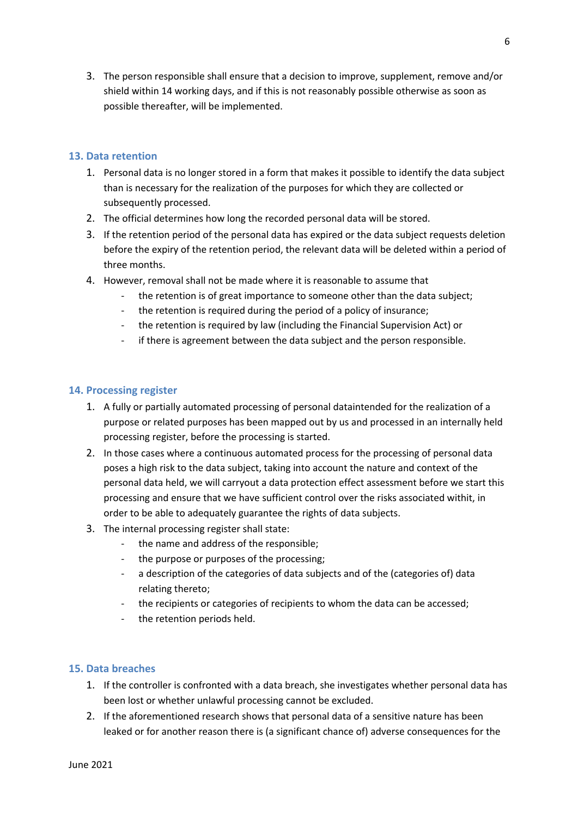3. The person responsible shall ensure that a decision to improve, supplement, remove and/or shield within 14 working days, and if this is not reasonably possible otherwise as soon as possible thereafter, will be implemented.

# **13. Data retention**

- 1. Personal data is no longer stored in a form that makes it possible to identify the data subject than is necessary for the realization of the purposes for which they are collected or subsequently processed.
- 2. The official determines how long the recorded personal data will be stored.
- 3. If the retention period of the personal data has expired or the data subject requests deletion before the expiry of the retention period, the relevant data will be deleted within a period of three months.
- 4. However, removal shall not be made where it is reasonable to assume that
	- the retention is of great importance to someone other than the data subject;
	- the retention is required during the period of a policy of insurance;
	- the retention is required by law (including the Financial Supervision Act) or
	- if there is agreement between the data subject and the person responsible.

# **14. Processing register**

- 1. A fully or partially automated processing of personal dataintended for the realization of a purpose or related purposes has been mapped out by us and processed in an internally held processing register, before the processing is started.
- 2. In those cases where a continuous automated process for the processing of personal data poses a high risk to the data subject, taking into account the nature and context of the personal data held, we will carryout a data protection effect assessment before we start this processing and ensure that we have sufficient control over the risks associated withit, in order to be able to adequately guarantee the rights of data subjects.
- 3. The internal processing register shall state:
	- the name and address of the responsible;
	- the purpose or purposes of the processing;
	- a description of the categories of data subjects and of the (categories of) data relating thereto;
	- the recipients or categories of recipients to whom the data can be accessed;
	- the retention periods held.

# **15. Data breaches**

- 1. If the controller is confronted with a data breach, she investigates whether personal data has been lost or whether unlawful processing cannot be excluded.
- 2. If the aforementioned research shows that personal data of a sensitive nature has been leaked or for another reason there is (a significant chance of) adverse consequences for the